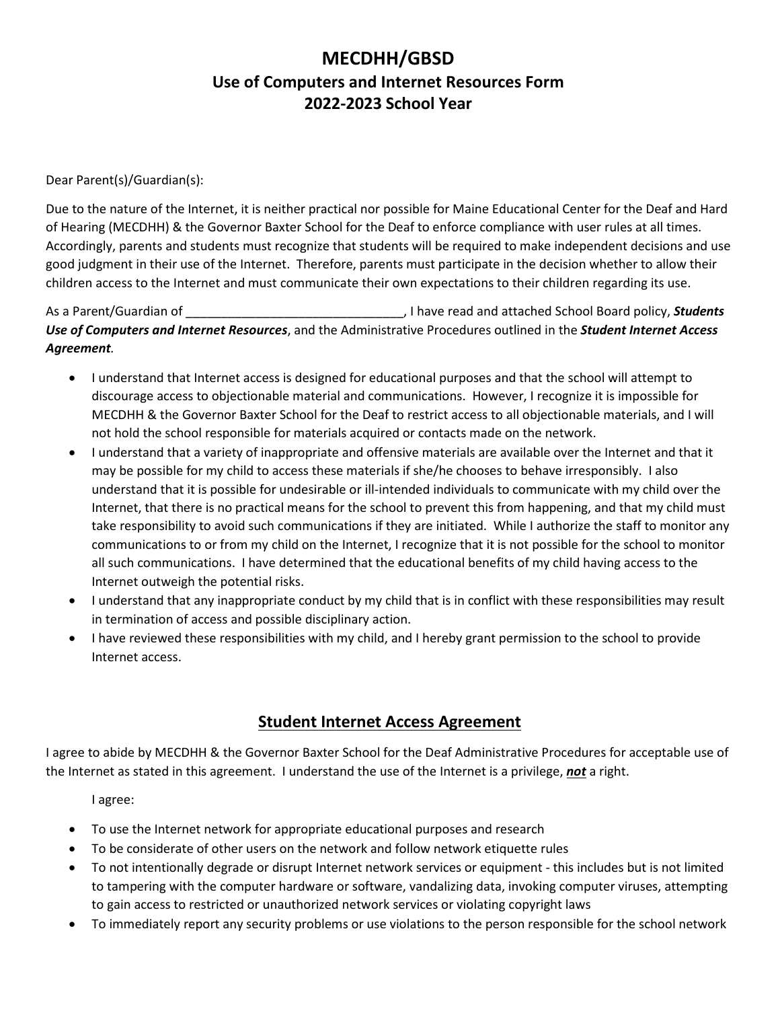## **MECDHH/GBSD Use of Computers and Internet Resources Form 2022-2023 School Year**

Dear Parent(s)/Guardian(s):

Due to the nature of the Internet, it is neither practical nor possible for Maine Educational Center for the Deaf and Hard of Hearing (MECDHH) & the Governor Baxter School for the Deaf to enforce compliance with user rules at all times. Accordingly, parents and students must recognize that students will be required to make independent decisions and use good judgment in their use of the Internet. Therefore, parents must participate in the decision whether to allow their children access to the Internet and must communicate their own expectations to their children regarding its use.

As a Parent/Guardian of \_\_\_\_\_\_\_\_\_\_\_\_\_\_\_\_\_\_\_\_\_\_\_\_\_\_\_\_\_\_\_, I have read and attached School Board policy, *Students Use of Computers and Internet Resources*, and the Administrative Procedures outlined in the *Student Internet Access Agreement.*

- I understand that Internet access is designed for educational purposes and that the school will attempt to discourage access to objectionable material and communications. However, I recognize it is impossible for MECDHH & the Governor Baxter School for the Deaf to restrict access to all objectionable materials, and I will not hold the school responsible for materials acquired or contacts made on the network.
- I understand that a variety of inappropriate and offensive materials are available over the Internet and that it may be possible for my child to access these materials if she/he chooses to behave irresponsibly. I also understand that it is possible for undesirable or ill-intended individuals to communicate with my child over the Internet, that there is no practical means for the school to prevent this from happening, and that my child must take responsibility to avoid such communications if they are initiated. While I authorize the staff to monitor any communications to or from my child on the Internet, I recognize that it is not possible for the school to monitor all such communications. I have determined that the educational benefits of my child having access to the Internet outweigh the potential risks.
- I understand that any inappropriate conduct by my child that is in conflict with these responsibilities may result in termination of access and possible disciplinary action.
- I have reviewed these responsibilities with my child, and I hereby grant permission to the school to provide Internet access.

## **Student Internet Access Agreement**

I agree to abide by MECDHH & the Governor Baxter School for the Deaf Administrative Procedures for acceptable use of the Internet as stated in this agreement. I understand the use of the Internet is a privilege, *not* a right.

I agree:

- To use the Internet network for appropriate educational purposes and research
- To be considerate of other users on the network and follow network etiquette rules
- To not intentionally degrade or disrupt Internet network services or equipment this includes but is not limited to tampering with the computer hardware or software, vandalizing data, invoking computer viruses, attempting to gain access to restricted or unauthorized network services or violating copyright laws
- To immediately report any security problems or use violations to the person responsible for the school network